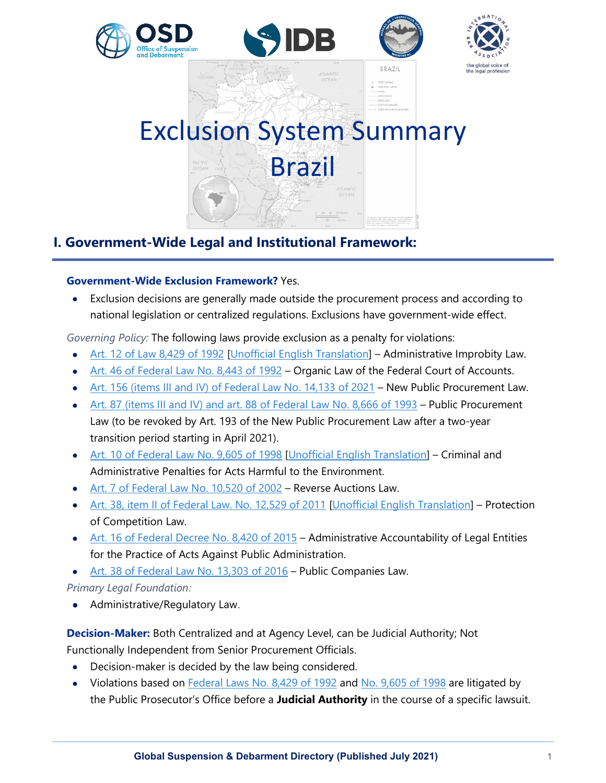

# **I. Government-Wide Legal and Institutional Framework:**

#### **Government-Wide Exclusion Framework?** Yes.

• Exclusion decisions are generally made outside the procurement process and according to national legislation or centralized regulations. Exclusions have government-wide effect.

*Governing Policy:* The following laws provide exclusion as a penalty for violations:

- [Art. 12 of Law 8,429 of 1992](http://www.planalto.gov.br/ccivil_03/Leis/L8429.htm) [\[Unofficial English Translation\]](http://www.mpf.mp.br/atuacao-tematica/sci/noticias/noticias-1-1/docs-das-noticias/traducao-em-ingles-da-lei-8429-1992-nao-oficial) Administrative Improbity Law.
- [Art. 46 of Federal Law No. 8,443 of 1992](http://www.planalto.gov.br/ccivil_03/leis/l8443.htm) Organic Law of the Federal Court of Accounts.
- [Art. 156 \(items III and IV\) of Federal Law No. 14,133 of 2021](http://www.planalto.gov.br/ccivil_03/_ato2019-2022/2021/lei/L14133.htm) New Public Procurement Law.
- [Art. 87 \(items III and IV\) and art. 88 of Federal Law No. 8,666 of 1993](http://www.planalto.gov.br/ccivil_03/leis/l8666cons.htm) Public Procurement Law (to be revoked by Art. 193 of the New Public Procurement Law after a two-year transition period starting in April 2021).
- [Art. 10 of Federal Law No. 9,605 of 1998](http://www.planalto.gov.br/ccivil_03/leis/l9605.htm) [\[Unofficial English](http://www.mpf.mp.br/atuacao-tematica/sci/normas-e-legislacao/legislacao/legislacao-em-ingles/law-no-9-605-1998-regulating-criminal-and-administrative-penalties-relating-to-behavior-and-activities-harmful-to-the-environment) Translation] Criminal and Administrative Penalties for Acts Harmful to the Environment.
- [Art. 7 of Federal Law No. 10,520 of 2002](http://www.planalto.gov.br/ccivil_03/LEIS/2002/L10520.htm) Reverse Auctions Law.
- [Art. 38, item II of Federal Law. No. 12,529 of 2011](http://www.planalto.gov.br/ccivil_03/_ato2011-2014/2011/lei/l12529.htm) [\[Unofficial English Translation\]](http://en.cade.gov.br/topics/legislation/laws/law-no-12529-2011-english-version-from-18-05-2012.pdf/view) Protection of Competition Law.
- [Art. 16 of Federal Decree No. 8,420 of 2015](http://www.planalto.gov.br/ccivil_03/_ato2015-2018/2015/decreto/d8420.htm) Administrative Accountability of Legal Entities for the Practice of Acts Against Public Administration.
- [Art. 38 of Federal Law No. 13,303 of 2016](http://www.planalto.gov.br/ccivil_03/_ato2015-2018/2016/lei/l13303.htm) Public Companies Law.

#### *Primary Legal Foundation:*

• Administrative/Regulatory Law.

#### **Decision-Maker:** Both Centralized and at Agency Level, can be Judicial Authority; Not

Functionally Independent from Senior Procurement Officials.

- Decision-maker is decided by the law being considered.
- Violations based on [Federal Laws No. 8,429 of 1992](http://www.planalto.gov.br/ccivil_03/Leis/L8429.htm) and [No. 9,605 of 1998](http://www.planalto.gov.br/ccivil_03/leis/l9605.htm) are litigated by the Public Prosecutor's Office before a **Judicial Authority** in the course of a specific lawsuit.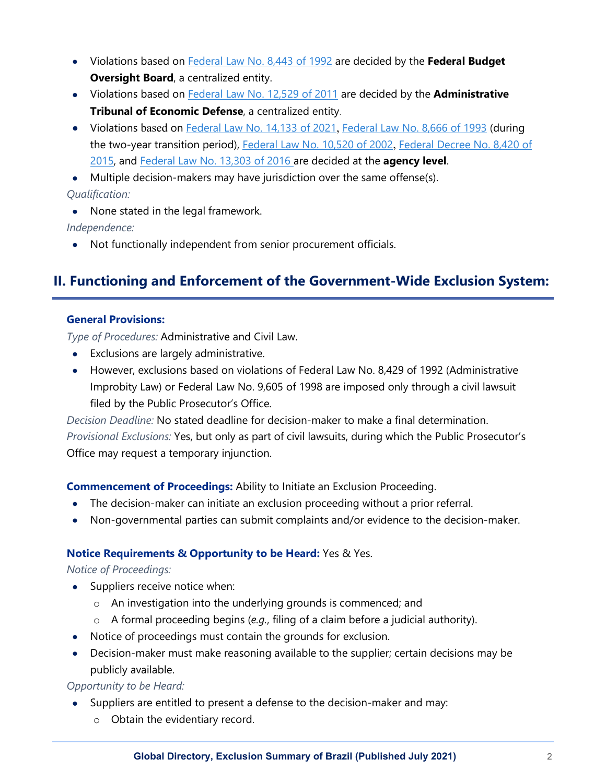- Violations based on [Federal Law No. 8,443 of 1992](http://www.planalto.gov.br/ccivil_03/leis/l8443.htm) are decided by the **Federal Budget Oversight Board**, a centralized entity.
- Violations based on [Federal Law No. 12,529 of 2011](http://www.planalto.gov.br/ccivil_03/_ato2011-2014/2011/lei/l12529.htm) are decided by the **Administrative Tribunal of Economic Defense**, a centralized entity.
- Violations based on [Federal Law No. 14,133 of 2021](http://www.planalto.gov.br/ccivil_03/_ato2019-2022/2021/lei/L14133.htm), [Federal Law No. 8,666 of 1993](http://www.planalto.gov.br/ccivil_03/leis/l8666cons.htm) (during the two-year transition period), [Federal Law No. 10,520 of 2002](http://www.planalto.gov.br/ccivil_03/LEIS/2002/L10520.htm), Federal Decree No. 8,420 of [2015,](http://www.planalto.gov.br/ccivil_03/_ato2015-2018/2015/decreto/d8420.htm) and [Federal Law No. 13,303 of 2016](http://www.planalto.gov.br/ccivil_03/_ato2015-2018/2016/lei/l13303.htm) are decided at the **agency level**.

• Multiple decision-makers may have jurisdiction over the same offense(s).

*Qualification:*

• None stated in the legal framework.

*Independence:*

• Not functionally independent from senior procurement officials.

# **II. Functioning and Enforcement of the Government-Wide Exclusion System:**

#### **General Provisions:**

*Type of Procedures:* Administrative and Civil Law.

- Exclusions are largely administrative.
- However, exclusions based on violations of Federal Law No. 8,429 of 1992 (Administrative Improbity Law) or Federal Law No. 9,605 of 1998 are imposed only through a civil lawsuit filed by the Public Prosecutor's Office.

*Decision Deadline:* No stated deadline for decision-maker to make a final determination. *Provisional Exclusions:* Yes, but only as part of civil lawsuits, during which the Public Prosecutor's Office may request a temporary injunction.

**Commencement of Proceedings:** Ability to Initiate an Exclusion Proceeding.

- The decision-maker can initiate an exclusion proceeding without a prior referral.
- Non-governmental parties can submit complaints and/or evidence to the decision-maker.

#### **Notice Requirements & Opportunity to be Heard:** Yes & Yes.

#### *Notice of Proceedings:*

- Suppliers receive notice when:
	- o An investigation into the underlying grounds is commenced; and
	- o A formal proceeding begins (*e.g.*, filing of a claim before a judicial authority).
- Notice of proceedings must contain the grounds for exclusion.
- Decision-maker must make reasoning available to the supplier; certain decisions may be publicly available.

*Opportunity to be Heard:*

- Suppliers are entitled to present a defense to the decision-maker and may:
	- o Obtain the evidentiary record.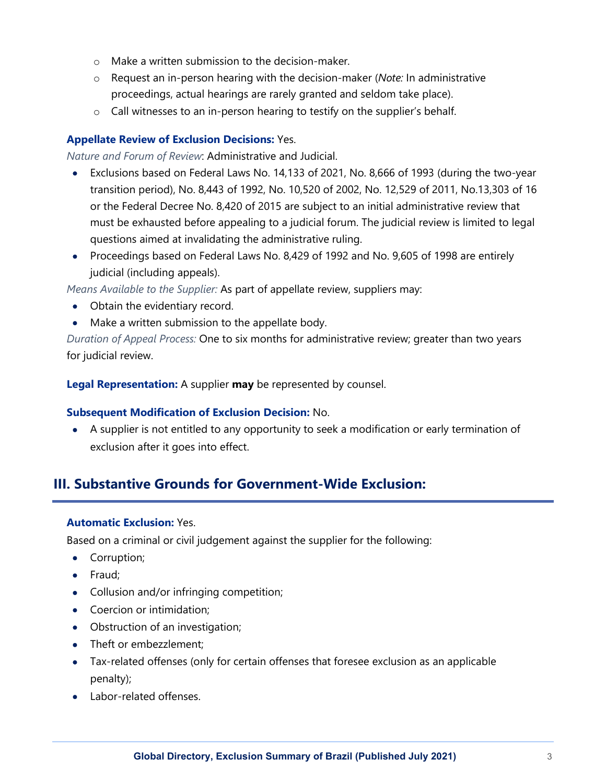- o Make a written submission to the decision-maker.
- o Request an in-person hearing with the decision-maker (*Note:* In administrative proceedings, actual hearings are rarely granted and seldom take place).
- o Call witnesses to an in-person hearing to testify on the supplier's behalf.

#### **Appellate Review of Exclusion Decisions:** Yes.

*Nature and Forum of Review*: Administrative and Judicial.

- Exclusions based on Federal Laws No. 14,133 of 2021, No. 8,666 of 1993 (during the two-year transition period), No. 8,443 of 1992, No. 10,520 of 2002, No. 12,529 of 2011, No.13,303 of 16 or the Federal Decree No. 8,420 of 2015 are subject to an initial administrative review that must be exhausted before appealing to a judicial forum. The judicial review is limited to legal questions aimed at invalidating the administrative ruling.
- Proceedings based on Federal Laws No. 8,429 of 1992 and No. 9,605 of 1998 are entirely judicial (including appeals).

*Means Available to the Supplier:* As part of appellate review, suppliers may:

- Obtain the evidentiary record.
- Make a written submission to the appellate body.

*Duration of Appeal Process:* One to six months for administrative review; greater than two years for judicial review.

**Legal Representation:** A supplier **may** be represented by counsel.

#### **Subsequent Modification of Exclusion Decision:** No.

• A supplier is not entitled to any opportunity to seek a modification or early termination of exclusion after it goes into effect.

## **III. Substantive Grounds for Government-Wide Exclusion:**

#### **Automatic Exclusion:** Yes.

Based on a criminal or civil judgement against the supplier for the following:

- Corruption;
- Fraud;
- Collusion and/or infringing competition;
- Coercion or intimidation;
- Obstruction of an investigation;
- Theft or embezzlement:
- Tax-related offenses (only for certain offenses that foresee exclusion as an applicable penalty);
- Labor-related offenses.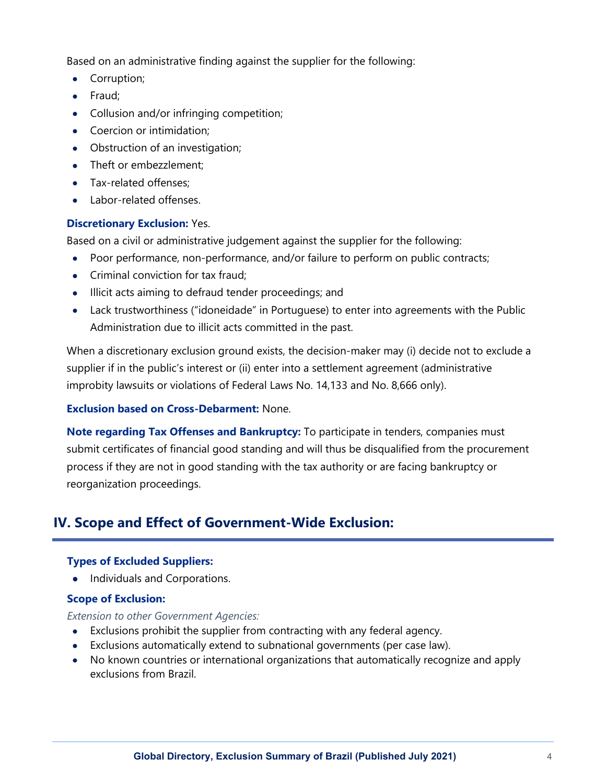Based on an administrative finding against the supplier for the following:

- Corruption;
- Fraud;
- Collusion and/or infringing competition;
- Coercion or intimidation;
- Obstruction of an investigation;
- Theft or embezzlement:
- Tax-related offenses:
- Labor-related offenses.

## **Discretionary Exclusion:** Yes.

Based on a civil or administrative judgement against the supplier for the following:

- Poor performance, non-performance, and/or failure to perform on public contracts;
- Criminal conviction for tax fraud:
- Illicit acts aiming to defraud tender proceedings; and
- Lack trustworthiness ("idoneidade" in Portuguese) to enter into agreements with the Public Administration due to illicit acts committed in the past.

When a discretionary exclusion ground exists, the decision-maker may (i) decide not to exclude a supplier if in the public's interest or (ii) enter into a settlement agreement (administrative improbity lawsuits or violations of Federal Laws No. 14,133 and No. 8,666 only).

## **Exclusion based on Cross-Debarment:** None.

**Note regarding Tax Offenses and Bankruptcy:** To participate in tenders, companies must submit certificates of financial good standing and will thus be disqualified from the procurement process if they are not in good standing with the tax authority or are facing bankruptcy or reorganization proceedings.

# **IV. Scope and Effect of Government-Wide Exclusion:**

## **Types of Excluded Suppliers:**

• Individuals and Corporations.

## **Scope of Exclusion:**

*Extension to other Government Agencies:*

- Exclusions prohibit the supplier from contracting with any federal agency.
- Exclusions automatically extend to subnational governments (per case law).
- No known countries or international organizations that automatically recognize and apply exclusions from Brazil.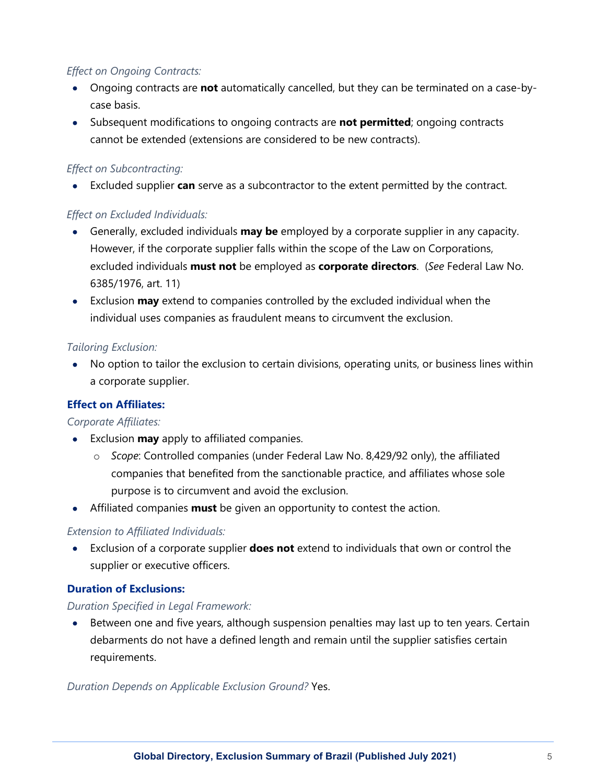## *Effect on Ongoing Contracts:*

- Ongoing contracts are **not** automatically cancelled, but they can be terminated on a case-bycase basis.
- Subsequent modifications to ongoing contracts are **not permitted**; ongoing contracts cannot be extended (extensions are considered to be new contracts).

### *Effect on Subcontracting:*

• Excluded supplier **can** serve as a subcontractor to the extent permitted by the contract.

## *Effect on Excluded Individuals:*

- Generally, excluded individuals **may be** employed by a corporate supplier in any capacity. However, if the corporate supplier falls within the scope of the Law on Corporations, excluded individuals **must not** be employed as **corporate directors**. (*See* Federal Law No. 6385/1976, art. 11)
- Exclusion **may** extend to companies controlled by the excluded individual when the individual uses companies as fraudulent means to circumvent the exclusion.

## *Tailoring Exclusion:*

• No option to tailor the exclusion to certain divisions, operating units, or business lines within a corporate supplier.

## **Effect on Affiliates:**

#### *Corporate Affiliates:*

- Exclusion **may** apply to affiliated companies.
	- o *Scope*: Controlled companies (under Federal Law No. 8,429/92 only), the affiliated companies that benefited from the sanctionable practice, and affiliates whose sole purpose is to circumvent and avoid the exclusion.
- Affiliated companies **must** be given an opportunity to contest the action.

#### *Extension to Affiliated Individuals:*

• Exclusion of a corporate supplier **does not** extend to individuals that own or control the supplier or executive officers.

#### **Duration of Exclusions:**

#### *Duration Specified in Legal Framework:*

• Between one and five years, although suspension penalties may last up to ten years. Certain debarments do not have a defined length and remain until the supplier satisfies certain requirements.

*Duration Depends on Applicable Exclusion Ground?* Yes.